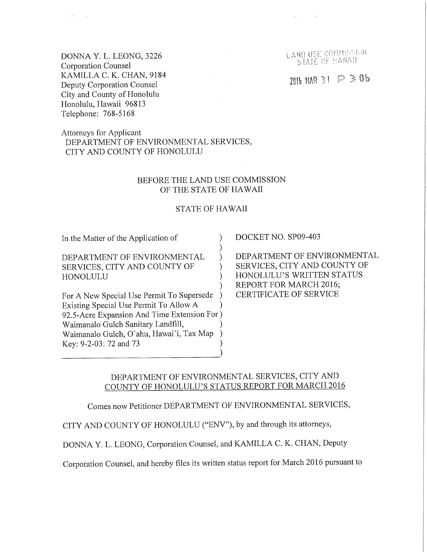DONNA Y. L. LEONG, 3226 Corporation Counsel KAMILLA C. K. CHAN, 9184 Deputy Corporation Counsel City and County of Honolulu Honolulu, Hawaii 96813 Telephone: 768-5168

 $\varphi^{1,0}(T)$  ,  $\varphi^{1,0}(r)$ 

Attorneys for Applicant DEPARTMENT OF ENVIRONMENTAL SERVICES, CITY AND COUNTY OF HONOLULU

#### BEFORE THE LAND USE COMMISSION OF THE STATE OF HAWAII

#### STATE OF HAWAII

 $\lambda$ )  $\mathcal{L}$  $\mathcal{L}$  $\mathcal{L}$ )

In the Matter of the Application of

DEPARTMENT OF ENVIRONMENTAL SERVICES, CITY AND COUNTY OF HONOLULU

For A New Special Use Permit To Supersede ) Existing Special Use Permit To Allow A 92.5-Acre Expansion And Time Extension For ) Waimanalo Gulch Sanitary Landfill, Waimanalo Gulch, O" ahu, Hawai'i, Tax Map Key: 9-2-03:72 and 73 ) ) ) ) ) DOCKET NO. SP09-403

DEPARTMENT OF ENVIRONMENTAL SERVICES, CITY AND COUNTY OF HONOLULU'S WRITTEN STATUS REPORT FOR MARCH 2016; CERTIFICATE OF SERVICE

#### DEPARTMENT OF ENVIRONMENTAL SERVICES, CITY AND COUNTY OF HONOLULU'S STATUS REPORT FOR MARCH 2016

Comes now Petitioner DEPARTMENT OF ENVIRONMENTAL SERVICES,

CITY AND COUNTY OF HONOLULU ("ENV"), by and through its attorneys,

DONNA Y. L. LEONG, Corporation Counsel, and KAMILLA C. K. CHAN, Deputy

Corporation Counsel, and hereby files its written status report for March 2016 pursuant to

LAND USE COMMISSION<br>STATE OF HAWAII

 $2016$  MAR 31  $\supseteq$  3:06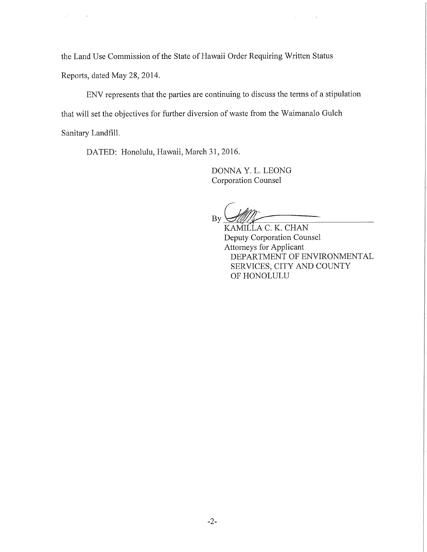the Land Use Commission of the State of Hawaii Order Requiring Written Status Reports, dated May 28, 2014.

ENV represents that the parties are continuing to discuss the terms of a stipulation that will set the objectives for further diversion of waste from the Waimanalo Gulch Sanitary Landfill.

DATED: Honolulu, Hawaii, March 31, 2016.

 $\hat{\rho}$ 

DONNA Y. L. LEONG Corporation Counsel

By

KAMILLA C. K. CHAN Deputy Corporation Counsel Attorneys for Applicant DEPARTMENT OF ENVIRONMENTAL SERVICES, CITY AND COUNTY OF HONOLULU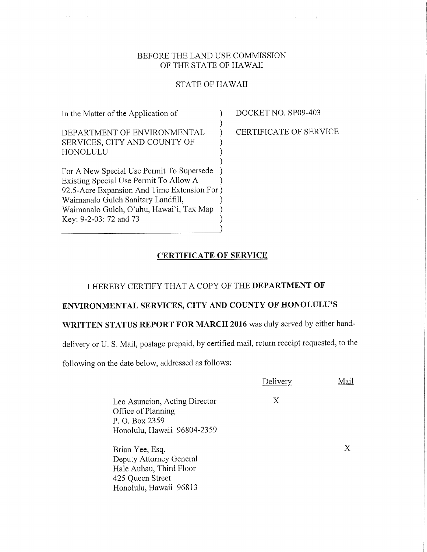#### BEFORE THE LAND USE COMMISSION OF THE STATE OF HAWAII

### STATE OF HAWAII

| In the Matter of the Application of          |  |
|----------------------------------------------|--|
|                                              |  |
| DEPARTMENT OF ENVIRONMENTAL                  |  |
| SERVICES, CITY AND COUNTY OF                 |  |
| HONOLULU                                     |  |
|                                              |  |
| For A New Special Use Permit To Supersede    |  |
| Existing Special Use Permit To Allow A       |  |
| 92.5-Acre Expansion And Time Extension For ) |  |
| Waimanalo Gulch Sanitary Landfill,           |  |
| Waimanalo Gulch, O'ahu, Hawai'i, Tax Map     |  |
| Key: 9-2-03: 72 and 73                       |  |

DOCKET NO. SP09-403

CERTIFICATE OF SERVICE

### CERTIFICATE OF SERVICE

)

## I HEREBY CERTIFY THAT A COPY OF THE DEPARTMENT OF

# ENVIRONMENTAL SERVICES, CITY AND COUNTY OF HONOLULU'S

## WRITTEN STATUS REPORT FOR MARCH 2016 was duly served by either hand-

delivery or U. S. Mail, postage prepaid, by certified mail, return receipt requested, to the

following on the date below, addressed as follows:

|                                                                                                                     | Delivery | Mail |
|---------------------------------------------------------------------------------------------------------------------|----------|------|
| Leo Asuncion, Acting Director<br>Office of Planning<br>P. O. Box 2359<br>Honolulu, Hawaii 96804-2359                | Χ        |      |
| Brian Yee, Esq.<br>Deputy Attorney General<br>Hale Auhau, Third Floor<br>425 Queen Street<br>Honolulu, Hawaii 96813 |          | X    |